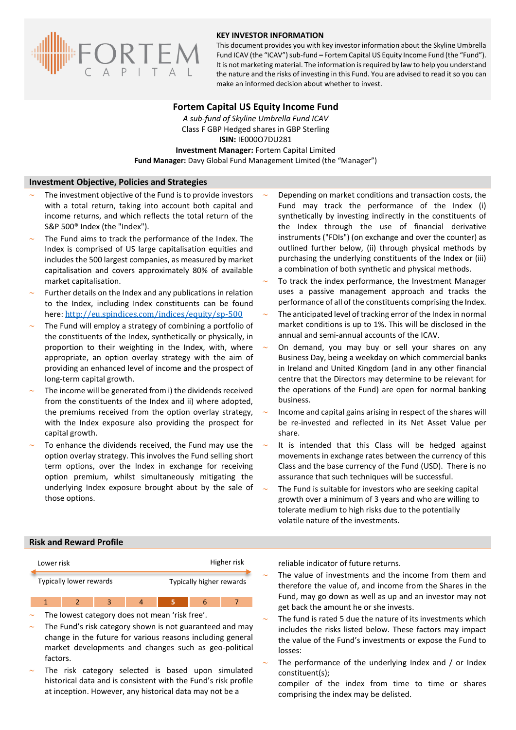

#### **KEY INVESTOR INFORMATION**

This document provides you with key investor information about the Skyline Umbrella Fund ICAV (the "ICAV") sub-fund **–** Fortem Capital US Equity Income Fund (the "Fund"). It is not marketing material. The information is required by law to help you understand the nature and the risks of investing in this Fund. You are advised to read it so you can make an informed decision about whether to invest.

#### **Fortem Capital US Equity Income Fund**

*A sub-fund of Skyline Umbrella Fund ICAV* Class F GBP Hedged shares in GBP Sterling **ISIN:** IE000O7DU281 **Investment Manager:** Fortem Capital Limited **Fund Manager:** Davy Global Fund Management Limited (the "Manager")

#### **Investment Objective, Policies and Strategies**

- The investment objective of the Fund is to provide investors with a total return, taking into account both capital and income returns, and which reflects the total return of the S&P 500® Index (the "Index").
- The Fund aims to track the performance of the Index. The Index is comprised of US large capitalisation equities and includes the 500 largest companies, as measured by market capitalisation and covers approximately 80% of available market capitalisation.
- Further details on the Index and any publications in relation to the Index, including Index constituents can be found here: <http://eu.spindices.com/indices/equity/sp-500>
- The Fund will employ a strategy of combining a portfolio of the constituents of the Index, synthetically or physically, in proportion to their weighting in the Index, with, where appropriate, an option overlay strategy with the aim of providing an enhanced level of income and the prospect of long-term capital growth.
- The income will be generated from i) the dividends received from the constituents of the Index and ii) where adopted, the premiums received from the option overlay strategy, with the Index exposure also providing the prospect for capital growth.
- To enhance the dividends received, the Fund may use the option overlay strategy. This involves the Fund selling short term options, over the Index in exchange for receiving option premium, whilst simultaneously mitigating the underlying Index exposure brought about by the sale of those options.
- Depending on market conditions and transaction costs, the Fund may track the performance of the Index (i) synthetically by investing indirectly in the constituents of the Index through the use of financial derivative instruments ("FDIs") (on exchange and over the counter) as outlined further below, (ii) through physical methods by purchasing the underlying constituents of the Index or (iii) a combination of both synthetic and physical methods.
- To track the index performance, the Investment Manager uses a passive management approach and tracks the performance of all of the constituents comprising the Index.
- The anticipated level of tracking error of the Index in normal market conditions is up to 1%. This will be disclosed in the annual and semi-annual accounts of the ICAV.
- On demand, you may buy or sell your shares on any Business Day, being a weekday on which commercial banks in Ireland and United Kingdom (and in any other financial centre that the Directors may determine to be relevant for the operations of the Fund) are open for normal banking business.
- Income and capital gains arising in respect of the shares will be re-invested and reflected in its Net Asset Value per share.
- It is intended that this Class will be hedged against movements in exchange rates between the currency of this Class and the base currency of the Fund (USD). There is no assurance that such techniques will be successful.
- The Fund is suitable for investors who are seeking capital growth over a minimum of 3 years and who are willing to tolerate medium to high risks due to the potentially volatile nature of the investments.

### **Risk and Reward Profile**



- The lowest category does not mean 'risk free'.
- The Fund's risk category shown is not guaranteed and may change in the future for various reasons including general market developments and changes such as geo-political factors.
- The risk category selected is based upon simulated historical data and is consistent with the Fund's risk profile at inception. However, any historical data may not be a

reliable indicator of future returns.

- The value of investments and the income from them and therefore the value of, and income from the Shares in the Fund, may go down as well as up and an investor may not get back the amount he or she invests.
- The fund is rated 5 due the nature of its investments which includes the risks listed below. These factors may impact the value of the Fund's investments or expose the Fund to losses:
- The performance of the underlying Index and / or Index constituent(s);
	- compiler of the index from time to time or shares comprising the index may be delisted.